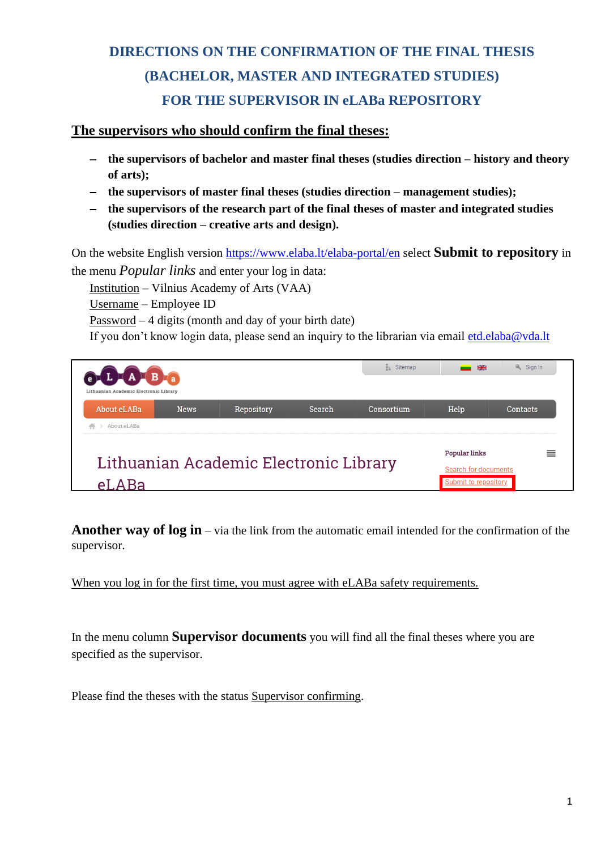## **DIRECTIONS ON THE CONFIRMATION OF THE FINAL THESIS (BACHELOR, MASTER AND INTEGRATED STUDIES) FOR THE SUPERVISOR IN eLABa REPOSITORY**

## **The supervisors who should confirm the final theses:**

- − **the supervisors of bachelor and master final theses (studies direction – history and theory of arts);**
- − **the supervisors of master final theses (studies direction – management studies);**
- − **the supervisors of the research part of the final theses of master and integrated studies (studies direction – creative arts and design).**

On the website English version<https://www.elaba.lt/elaba-portal/en> select **Submit to repository** in the menu *Popular links* and enter your log in data:

Institution – Vilnius Academy of Arts (VAA)

Username – Employee ID

Password – 4 digits (month and day of your birth date)

If you don't know login data, please send an inquiry to the librarian via email [etd.elaba@vda.lt](mailto:etd.elaba@vda.lt)



**Another way of log in** – via the link from the automatic email intended for the confirmation of the supervisor.

When you log in for the first time, you must agree with eLABa safety requirements.

In the menu column **Supervisor documents** you will find all the final theses where you are specified as the supervisor.

Please find the theses with the status Supervisor confirming.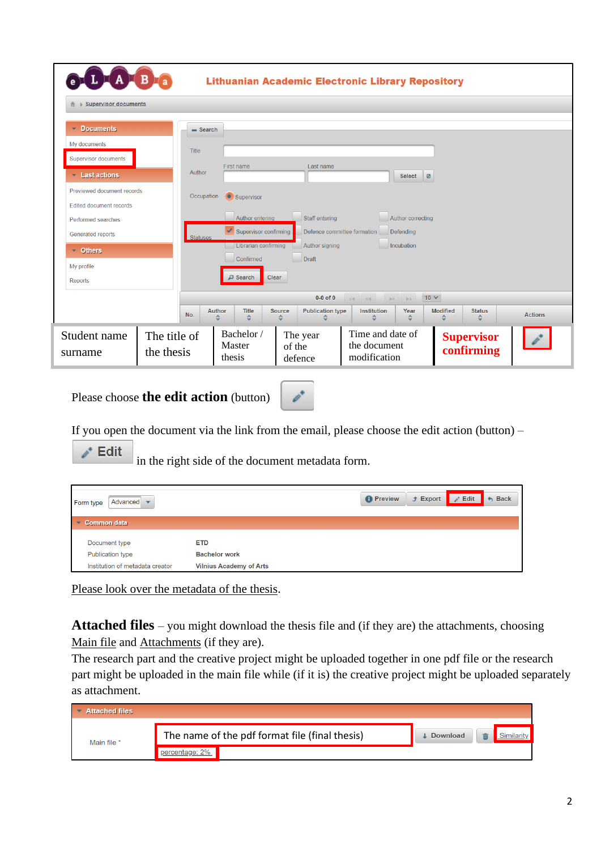|                                                              | <b>TALB</b> <sub>a</sub>   |                                                                                                                                                |                                             | <b>Lithuanian Academic Electronic Library Repository</b> |                                            |                |
|--------------------------------------------------------------|----------------------------|------------------------------------------------------------------------------------------------------------------------------------------------|---------------------------------------------|----------------------------------------------------------|--------------------------------------------|----------------|
| <b>Supervisor documents</b>                                  |                            |                                                                                                                                                |                                             |                                                          |                                            |                |
| <b>Documents</b><br>٠                                        | $=$ Search                 |                                                                                                                                                |                                             |                                                          |                                            |                |
| My documents<br><b>Supervisor documents</b>                  | <b>Title</b>               |                                                                                                                                                |                                             |                                                          |                                            |                |
| Last actions                                                 | Author                     | First name                                                                                                                                     | Last name                                   | Select<br>$\overline{\bullet}$                           |                                            |                |
| Previewed document records<br><b>Edited document records</b> | Occupation                 | Supervisor                                                                                                                                     |                                             |                                                          |                                            |                |
| Performed searches                                           |                            | Author entering<br>Staff entering<br>Author correcting<br>Supervisor confirming<br>Defence committee formation<br>Defending<br><b>Statuses</b> |                                             |                                                          |                                            |                |
| Generated reports                                            |                            |                                                                                                                                                |                                             |                                                          |                                            |                |
| $\blacksquare$ Others                                        |                            | Librarian confirming<br>Confirmed                                                                                                              | Author signing<br>Draft                     | Incubation                                               |                                            |                |
| My profile<br>Reports                                        |                            | $\Box$ Search                                                                                                                                  | Clear                                       |                                                          |                                            |                |
| $0-0$ of $0$<br>$10 \vee$                                    |                            |                                                                                                                                                |                                             |                                                          |                                            |                |
|                                                              | No.                        | <b>Author</b><br>Title<br>٠<br>٠                                                                                                               | <b>Publication type</b><br>Source<br>≎<br>≎ | Institution<br>Year<br>٥<br>≎                            | <b>Modified</b><br><b>Status</b><br>٥<br>≎ | <b>Actions</b> |
| Student name<br>surname                                      | The title of<br>the thesis | Bachelor /<br>Master<br>thesis                                                                                                                 | The year<br>of the<br>defence               | Time and date of<br>the document<br>modification         | <b>Supervisor</b><br>confirming            |                |

Please choose **the edit action** (button)



If you open the document via the link from the email, please choose the edit action (button) –

 $\lambda$ <sup>+</sup> Edit

In the right side of the document metadata form.

| Advanced<br>Form type           |                                |  | $f$ Export | Edit<br>$\mathbb{Z}^3$ | $h$ Back |
|---------------------------------|--------------------------------|--|------------|------------------------|----------|
| <b>Common data</b><br>÷         |                                |  |            |                        |          |
| Document type                   | <b>ETD</b>                     |  |            |                        |          |
| <b>Publication type</b>         | <b>Bachelor work</b>           |  |            |                        |          |
| Institution of metadata creator | <b>Vilnius Academy of Arts</b> |  |            |                        |          |

Please look over the metadata of the thesis.

**Attached files** – you might download the thesis file and (if they are) the attachments, choosing Main file and Attachments (if they are).

The research part and the creative project might be uploaded together in one pdf file or the research part might be uploaded in the main file while (if it is) the creative project might be uploaded separately as attachment.

| <b>Attached files</b> |                                                |                 |  |
|-----------------------|------------------------------------------------|-----------------|--|
| Main file *           | The name of the pdf format file (final thesis) | <b>Download</b> |  |
|                       |                                                |                 |  |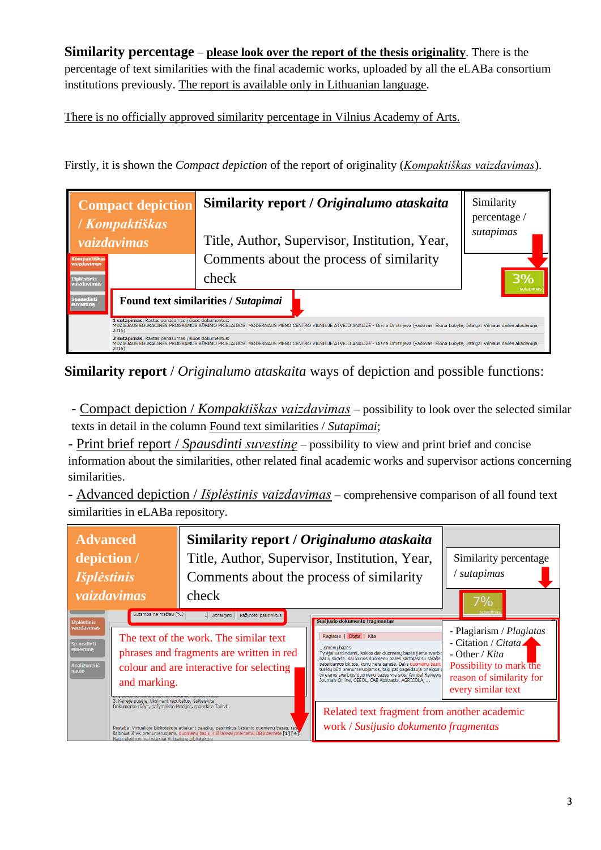**Similarity percentage** – **please look over the report of the thesis originality**. There is the percentage of text similarities with the final academic works, uploaded by all the eLABa consortium institutions previously. The report is available only in Lithuanian language.

There is no officially approved similarity percentage in Vilnius Academy of Arts.

Firstly, it is shown the *Compact depiction* of the report of originality (*Kompaktiškas vaizdavimas*).

| <b>Compact depiction</b><br>/ Kompaktiškas |                                                                                                                                                                                                                                              | Similarity report / Originalumo ataskaita     | Similarity<br>percentage / |  |  |
|--------------------------------------------|----------------------------------------------------------------------------------------------------------------------------------------------------------------------------------------------------------------------------------------------|-----------------------------------------------|----------------------------|--|--|
| vaizdavimas                                |                                                                                                                                                                                                                                              | Title, Author, Supervisor, Institution, Year, | sutapimas                  |  |  |
| <b>Kompaktiškas</b><br>vaizdavimas         |                                                                                                                                                                                                                                              | Comments about the process of similarity      |                            |  |  |
| <b>Išplėstinis</b><br>vaizdavimas          |                                                                                                                                                                                                                                              | check                                         |                            |  |  |
| Spausdinti<br>suvestine                    | Found text similarities / Sutapimai                                                                                                                                                                                                          |                                               |                            |  |  |
|                                            | 1 sutapimas. Rastas panašumas į šiuos dokumentus:<br>MUZIEJAUS EDUKACINĖS PROGRAMOS KŪRIMO PRIELAIDOS: MODERNAUS MENO CENTRO VILNIUJE ATVEJO ANALIZĖ - Diana Dmitrijeva (vadovas: Elona Lubytė, Istaiga: Vilniaus dailės akademija,<br>2015  |                                               |                            |  |  |
|                                            | 2 sutapimas. Rastas panašumas į šiuos dokumentus:<br>MUZIEJAUS EDUKACINĖS PROGRAMOS KŪRIMO PRIELAIDOS: MODERNAUS MENO CENTRO VILNIUJE ATVEJO ANALIZĖ - Diana Dmitrijeva (vadovas: Elona Lubytė, Istaiga: Vilniaus dailės akademija,<br>2015) |                                               |                            |  |  |

**Similarity report** / *Originalumo ataskaita* ways of depiction and possible functions:

- Compact depiction / *Kompaktiškas vaizdavimas* – possibility to look over the selected similar texts in detail in the column Found text similarities / *Sutapimai*;

- Print brief report / *Spausdinti suvestinę* – possibility to view and print brief and concise information about the similarities, other related final academic works and supervisor actions concerning similarities.

- Advanced depiction / *Išplėstinis vaizdavimas* – comprehensive comparison of all found text similarities in eLABa repository.